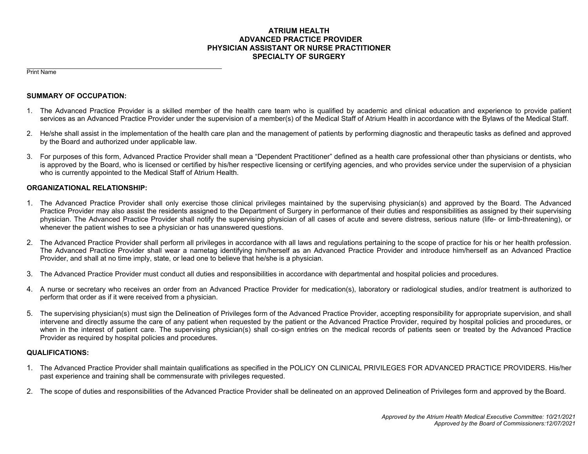## **ATRIUM HEALTH ADVANCED PRACTICE PROVIDER PHYSICIAN ASSISTANT OR NURSE PRACTITIONER SPECIALTY OF SURGERY**

Print Name

#### **SUMMARY OF OCCUPATION:**

- 1. The Advanced Practice Provider is a skilled member of the health care team who is qualified by academic and clinical education and experience to provide patient services as an Advanced Practice Provider under the supervision of a member(s) of the Medical Staff of Atrium Health in accordance with the Bylaws of the Medical Staff.
- 2. He/she shall assist in the implementation of the health care plan and the management of patients by performing diagnostic and therapeutic tasks as defined and approved by the Board and authorized under applicable law.
- 3. For purposes of this form, Advanced Practice Provider shall mean a "Dependent Practitioner" defined as a health care professional other than physicians or dentists, who is approved by the Board, who is licensed or certified by his/her respective licensing or certifying agencies, and who provides service under the supervision of a physician who is currently appointed to the Medical Staff of Atrium Health.

### **ORGANIZATIONAL RELATIONSHIP:**

- 1. The Advanced Practice Provider shall only exercise those clinical privileges maintained by the supervising physician(s) and approved by the Board. The Advanced Practice Provider may also assist the residents assigned to the Department of Surgery in performance of their duties and responsibilities as assigned by their supervising physician. The Advanced Practice Provider shall notify the supervising physician of all cases of acute and severe distress, serious nature (life- or limb-threatening), or whenever the patient wishes to see a physician or has unanswered questions.
- 2. The Advanced Practice Provider shall perform all privileges in accordance with all laws and regulations pertaining to the scope of practice for his or her health profession. The Advanced Practice Provider shall wear a nametag identifying him/herself as an Advanced Practice Provider and introduce him/herself as an Advanced Practice Provider, and shall at no time imply, state, or lead one to believe that he/she is a physician.
- 3. The Advanced Practice Provider must conduct all duties and responsibilities in accordance with departmental and hospital policies and procedures.
- 4. A nurse or secretary who receives an order from an Advanced Practice Provider for medication(s), laboratory or radiological studies, and/or treatment is authorized to perform that order as if it were received from a physician.
- 5. The supervising physician(s) must sign the Delineation of Privileges form of the Advanced Practice Provider, accepting responsibility for appropriate supervision, and shall intervene and directly assume the care of any patient when requested by the patient or the Advanced Practice Provider, required by hospital policies and procedures, or when in the interest of patient care. The supervising physician(s) shall co-sign entries on the medical records of patients seen or treated by the Advanced Practice Provider as required by hospital policies and procedures.

#### **QUALIFICATIONS:**

- 1. The Advanced Practice Provider shall maintain qualifications as specified in the POLICY ON CLINICAL PRIVILEGES FOR ADVANCED PRACTICE PROVIDERS. His/her past experience and training shall be commensurate with privileges requested.
- 2. The scope of duties and responsibilities of the Advanced Practice Provider shall be delineated on an approved Delineation of Privileges form and approved by the Board.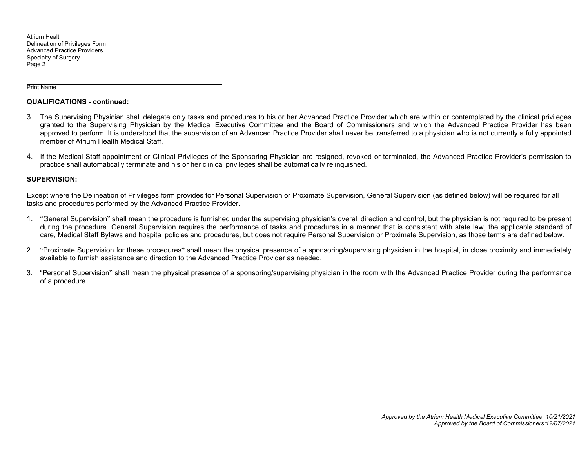Atrium Health Delineation of Privileges Form Advanced Practice Providers Specialty of Surgery Page 2

Print Name

#### **QUALIFICATIONS - continued:**

- 3. The Supervising Physician shall delegate only tasks and procedures to his or her Advanced Practice Provider which are within or contemplated by the clinical privileges granted to the Supervising Physician by the Medical Executive Committee and the Board of Commissioners and which the Advanced Practice Provider has been approved to perform. It is understood that the supervision of an Advanced Practice Provider shall never be transferred to a physician who is not currently a fully appointed member of Atrium Health Medical Staff.
- 4. If the Medical Staff appointment or Clinical Privileges of the Sponsoring Physician are resigned, revoked or terminated, the Advanced Practice Provider's permission to practice shall automatically terminate and his or her clinical privileges shall be automatically relinquished.

#### **SUPERVISION:**

Except where the Delineation of Privileges form provides for Personal Supervision or Proximate Supervision, General Supervision (as defined below) will be required for all tasks and procedures performed by the Advanced Practice Provider.

- 1. "General Supervision" shall mean the procedure is furnished under the supervising physician's overall direction and control, but the physician is not required to be present during the procedure. General Supervision requires the performance of tasks and procedures in a manner that is consistent with state law, the applicable standard of care, Medical Staff Bylaws and hospital policies and procedures, but does not require Personal Supervision or Proximate Supervision, as those terms are defined below.
- 2. "Proximate Supervision for these procedures" shall mean the physical presence of a sponsoring/supervising physician in the hospital, in close proximity and immediately available to furnish assistance and direction to the Advanced Practice Provider as needed.
- 3. "Personal Supervision" shall mean the physical presence of a sponsoring/supervising physician in the room with the Advanced Practice Provider during the performance of a procedure.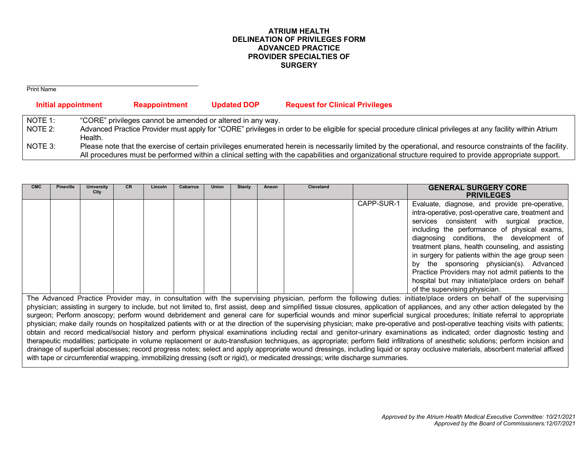## **ATRIUM HEALTH DELINEATION OF PRIVILEGES FORM ADVANCED PRACTICE PROVIDER SPECIALTIES OF SURGERY**

| <b>Print Name</b>   |                                                            |                    |                                                                                                                                                                                                                                                                                                                      |
|---------------------|------------------------------------------------------------|--------------------|----------------------------------------------------------------------------------------------------------------------------------------------------------------------------------------------------------------------------------------------------------------------------------------------------------------------|
| Initial appointment | <b>Reappointment</b>                                       | <b>Updated DOP</b> | <b>Request for Clinical Privileges</b>                                                                                                                                                                                                                                                                               |
| NOTE 1:             | "CORE" privileges cannot be amended or altered in any way. |                    |                                                                                                                                                                                                                                                                                                                      |
| NOTE 2:             | Health.                                                    |                    | Advanced Practice Provider must apply for "CORE" privileges in order to be eligible for special procedure clinical privileges at any facility within Atrium                                                                                                                                                          |
| NOTE 3:             |                                                            |                    | Please note that the exercise of certain privileges enumerated herein is necessarily limited by the operational, and resource constraints of the facility.<br>All procedures must be performed within a clinical setting with the capabilities and organizational structure required to provide appropriate support. |

| <b>CMC</b> | <b>Pineville</b> | <b>University</b><br>City | CR. | Lincoln | <b>Cabarrus</b> | <b>Union</b> | Stanly | Anson | <b>Cleveland</b> |            | <b>GENERAL SURGERY CORE</b><br><b>PRIVILEGES</b>                                                                                                                                                                                                                                                                                                                                                                                                                                                                                                 |
|------------|------------------|---------------------------|-----|---------|-----------------|--------------|--------|-------|------------------|------------|--------------------------------------------------------------------------------------------------------------------------------------------------------------------------------------------------------------------------------------------------------------------------------------------------------------------------------------------------------------------------------------------------------------------------------------------------------------------------------------------------------------------------------------------------|
|            |                  |                           |     |         |                 |              |        |       |                  | CAPP-SUR-1 | Evaluate, diagnose, and provide pre-operative,<br>intra-operative, post-operative care, treatment and<br>services consistent with surgical practice,<br>including the performance of physical exams,<br>diagnosing conditions, the development of<br>treatment plans, health counseling, and assisting<br>in surgery for patients within the age group seen<br>by the sponsoring physician(s). Advanced<br>Practice Providers may not admit patients to the<br>hospital but may initiate/place orders on behalf<br>of the supervising physician. |

The Advanced Practice Provider may, in consultation with the supervising physician, perform the following duties: initiate/place orders on behalf of the supervising physician; assisting in surgery to include, but not limited to, first assist, deep and simplified tissue closures, application of appliances, and any other action delegated by the surgeon; Perform anoscopy; perform wound debridement and general care for superficial wounds and minor superficial surgical procedures; Initiate referral to appropriate physician; make daily rounds on hospitalized patients with or at the direction of the supervising physician; make pre-operative and post-operative teaching visits with patients; obtain and record medical/social history and perform physical examinations including rectal and genitor-urinary examinations as indicated; order diagnostic testing and therapeutic modalities; participate in volume replacement or auto-transfusion techniques, as appropriate; perform field infiltrations of anesthetic solutions; perform incision and drainage of superficial abscesses; record progress notes; select and apply appropriate wound dressings, including liquid or spray occlusive materials, absorbent material affixed with tape or circumferential wrapping, immobilizing dressing (soft or rigid), or medicated dressings; write discharge summaries.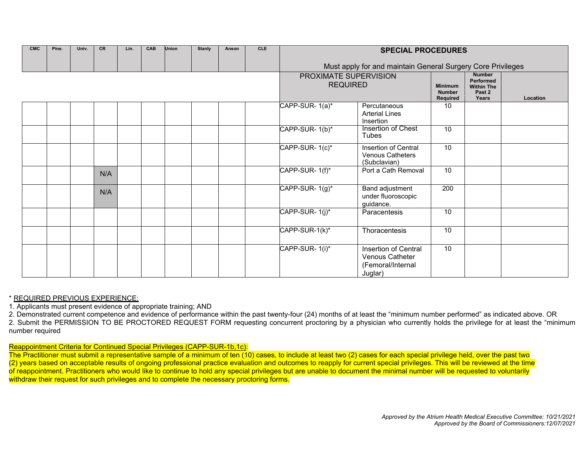| CMC | Pine. | Univ. | CR  | Lin. | CAB | <b>Union</b> | <b>Stanly</b> | Anson | <b>CLE</b> |                                                             | <b>SPECIAL PROCEDURES</b>                                               |                                             |                                                                    |          |
|-----|-------|-------|-----|------|-----|--------------|---------------|-------|------------|-------------------------------------------------------------|-------------------------------------------------------------------------|---------------------------------------------|--------------------------------------------------------------------|----------|
|     |       |       |     |      |     |              |               |       |            | Must apply for and maintain General Surgery Core Privileges |                                                                         |                                             |                                                                    |          |
|     |       |       |     |      |     |              |               |       |            |                                                             | PROXIMATE SUPERVISION<br><b>REQUIRED</b>                                | <b>Minimum</b><br><b>Number</b><br>Required | <b>Number</b><br>Performed<br><b>Within The</b><br>Past 2<br>Years | Location |
|     |       |       |     |      |     |              |               |       |            | CAPP-SUR-1(a)*                                              | Percutaneous<br><b>Arterial Lines</b><br>Insertion                      | 10                                          |                                                                    |          |
|     |       |       |     |      |     |              |               |       |            | CAPP-SUR-1(b)*                                              | Insertion of Chest<br><b>Tubes</b>                                      | 10                                          |                                                                    |          |
|     |       |       |     |      |     |              |               |       |            | CAPP-SUR-1(c)*                                              | Insertion of Central<br><b>Venous Catheters</b><br>(Subclavian)         | 10                                          |                                                                    |          |
|     |       |       | N/A |      |     |              |               |       |            | CAPP-SUR-1(f)*                                              | Port a Cath Removal                                                     | 10                                          |                                                                    |          |
|     |       |       | N/A |      |     |              |               |       |            | CAPP-SUR-1(g)*                                              | Band adjustment<br>under fluoroscopic<br>guidance.                      | 200                                         |                                                                    |          |
|     |       |       |     |      |     |              |               |       |            | CAPP-SUR-1(j)*                                              | Paracentesis                                                            | 10                                          |                                                                    |          |
|     |       |       |     |      |     |              |               |       |            | CAPP-SUR-1(k)*                                              | Thoracentesis                                                           | 10                                          |                                                                    |          |
|     |       |       |     |      |     |              |               |       |            | CAPP-SUR-1(i)*                                              | Insertion of Central<br>Venous Catheter<br>(Femoral/Internal<br>Juglar) | 10                                          |                                                                    |          |

## \* REQUIRED PREVIOUS EXPERIENCE:

1. Applicants must present evidence of appropriate training; AND

2. Demonstrated current competence and evidence of performance within the past twenty-four (24) months of at least the "minimum number performed" as indicated above. OR 2. Submit the PERMISSION TO BE PROCTORED REQUEST FORM requesting concurrent proctoring by a physician who currently holds the privilege for at least the "minimum number required

### Reappointment Criteria for Continued Special Privileges (CAPP-SUR-1b,1c):

The Practitioner must submit a representative sample of a minimum of ten (10) cases, to include at least two (2) cases for each special privilege held, over the past two (2) years based on acceptable results of ongoing professional practice evaluation and outcomes to reapply for current special privileges. This will be reviewed at the time of reappointment. Practitioners who would like to continue to hold any special privileges but are unable to document the minimal number will be requested to voluntarily withdraw their request for such privileges and to complete the necessary proctoring forms.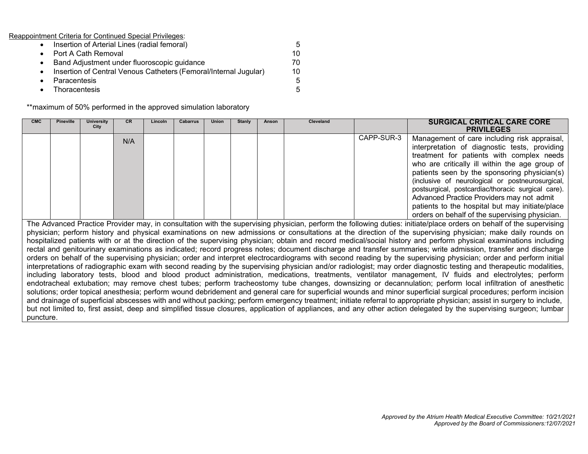Reappointment Criteria for Continued Special Privileges:

| • Insertion of Arterial Lines (radial femoral)                     | 5.  |
|--------------------------------------------------------------------|-----|
| • Port A Cath Removal                                              | 10. |
| • Band Adjustment under fluoroscopic guidance                      | 70  |
| • Insertion of Central Venous Catheters (Femoral/Internal Jugular) | 10  |
| • Paracentesis                                                     | 5.  |
| • Thoracentesis                                                    | 5   |

\*\*maximum of 50% performed in the approved simulation laboratory

| <b>CMC</b>                                                                                                                                                             | <b>Pineville</b> | <b>University</b><br>City | <b>CR</b> | Lincoln | <b>Cabarrus</b> | <b>Union</b> | <b>Stanly</b> | Anson | Cleveland |            | <b>SURGICAL CRITICAL CARE CORE</b><br><b>PRIVILEGES</b>                                                                                                              |
|------------------------------------------------------------------------------------------------------------------------------------------------------------------------|------------------|---------------------------|-----------|---------|-----------------|--------------|---------------|-------|-----------|------------|----------------------------------------------------------------------------------------------------------------------------------------------------------------------|
|                                                                                                                                                                        |                  |                           | N/A       |         |                 |              |               |       |           | CAPP-SUR-3 | Management of care including risk appraisal,                                                                                                                         |
|                                                                                                                                                                        |                  |                           |           |         |                 |              |               |       |           |            | interpretation of diagnostic tests, providing                                                                                                                        |
|                                                                                                                                                                        |                  |                           |           |         |                 |              |               |       |           |            | treatment for patients with complex needs                                                                                                                            |
|                                                                                                                                                                        |                  |                           |           |         |                 |              |               |       |           |            | who are critically ill within the age group of                                                                                                                       |
|                                                                                                                                                                        |                  |                           |           |         |                 |              |               |       |           |            | patients seen by the sponsoring physician(s)                                                                                                                         |
|                                                                                                                                                                        |                  |                           |           |         |                 |              |               |       |           |            | (inclusive of neurological or postneurosurgical,                                                                                                                     |
|                                                                                                                                                                        |                  |                           |           |         |                 |              |               |       |           |            | postsurgical, postcardiac/thoracic surgical care).                                                                                                                   |
|                                                                                                                                                                        |                  |                           |           |         |                 |              |               |       |           |            | Advanced Practice Providers may not admit                                                                                                                            |
|                                                                                                                                                                        |                  |                           |           |         |                 |              |               |       |           |            | patients to the hospital but may initiate/place                                                                                                                      |
|                                                                                                                                                                        |                  |                           |           |         |                 |              |               |       |           |            | orders on behalf of the supervising physician.                                                                                                                       |
|                                                                                                                                                                        |                  |                           |           |         |                 |              |               |       |           |            | The Advanced Practice Provider may, in consultation with the supervising physician, perform the following duties: initiate/place orders on behalf of the supervising |
|                                                                                                                                                                        |                  |                           |           |         |                 |              |               |       |           |            | physician; perform history and physical examinations on new admissions or consultations at the direction of the supervising physician; make daily rounds on          |
|                                                                                                                                                                        |                  |                           |           |         |                 |              |               |       |           |            | hospitalized patients with or at the direction of the supervising physician; obtain and record medical/social history and perform physical examinations including    |
|                                                                                                                                                                        |                  |                           |           |         |                 |              |               |       |           |            | rectal and genitourinary examinations as indicated; record progress notes; document discharge and transfer summaries; write admission, transfer and discharge        |
|                                                                                                                                                                        |                  |                           |           |         |                 |              |               |       |           |            | orders on behalf of the supervising physician; order and interpret electrocardiograms with second reading by the supervising physician; order and perform initial    |
|                                                                                                                                                                        |                  |                           |           |         |                 |              |               |       |           |            | interpretations of radiographic exam with second reading by the supervising physician and/or radiologist; may order diagnostic testing and therapeutic modalities,   |
|                                                                                                                                                                        |                  |                           |           |         |                 |              |               |       |           |            | including laboratory tests, blood and blood product administration, medications, treatments, ventilator management, IV fluids and electrolytes; perform              |
|                                                                                                                                                                        |                  |                           |           |         |                 |              |               |       |           |            | endotracheal extubation; may remove chest tubes; perform tracheostomy tube changes, downsizing or decannulation; perform local infiltration of anesthetic            |
|                                                                                                                                                                        |                  |                           |           |         |                 |              |               |       |           |            | solutions; order topical anesthesia; perform wound debridement and general care for superficial wounds and minor superficial surgical procedures; perform incision   |
| and drainage of superficial abscesses with and without packing; perform emergency treatment; initiate referral to appropriate physician; assist in surgery to include, |                  |                           |           |         |                 |              |               |       |           |            |                                                                                                                                                                      |
|                                                                                                                                                                        |                  |                           |           |         |                 |              |               |       |           |            | but not limited to, first assist, deep and simplified tissue closures, application of appliances, and any other action delegated by the supervising surgeon; lumbar  |
| puncture.                                                                                                                                                              |                  |                           |           |         |                 |              |               |       |           |            |                                                                                                                                                                      |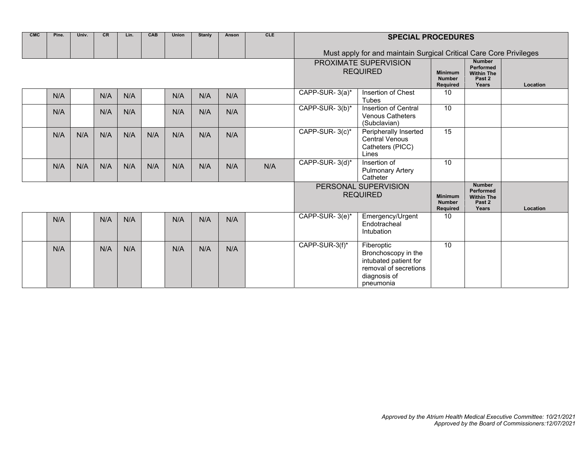| <b>CMC</b> | Pine. | Univ. | CR  | Lin. | CAB | <b>Union</b> | <b>Stanly</b>                           | Anson                                       | CLE                                                                |                | <b>SPECIAL PROCEDURES</b>                                                                                        |                                                    |                                                                    |          |
|------------|-------|-------|-----|------|-----|--------------|-----------------------------------------|---------------------------------------------|--------------------------------------------------------------------|----------------|------------------------------------------------------------------------------------------------------------------|----------------------------------------------------|--------------------------------------------------------------------|----------|
|            |       |       |     |      |     |              |                                         |                                             |                                                                    |                | Must apply for and maintain Surgical Critical Care Core Privileges                                               |                                                    |                                                                    |          |
|            |       |       |     |      |     |              |                                         |                                             |                                                                    |                | PROXIMATE SUPERVISION<br><b>REQUIRED</b>                                                                         | <b>Minimum</b><br><b>Number</b><br><b>Required</b> | <b>Number</b><br>Performed<br><b>Within The</b><br>Past 2<br>Years | Location |
|            | N/A   |       | N/A | N/A  |     | N/A          | N/A                                     | N/A                                         |                                                                    | CAPP-SUR-3(a)* | Insertion of Chest<br>Tubes                                                                                      | 10                                                 |                                                                    |          |
|            | N/A   |       | N/A | N/A  |     | N/A          | N/A                                     | N/A                                         |                                                                    | CAPP-SUR-3(b)* | <b>Insertion of Central</b><br><b>Venous Catheters</b><br>(Subclavian)                                           | 10                                                 |                                                                    |          |
|            | N/A   | N/A   | N/A | N/A  | N/A | N/A          | N/A                                     | N/A                                         |                                                                    | CAPP-SUR-3(c)* | Peripherally Inserted<br><b>Central Venous</b><br>Catheters (PICC)<br>Lines                                      | 15                                                 |                                                                    |          |
|            | N/A   | N/A   | N/A | N/A  | N/A | N/A          | N/A                                     | N/A                                         | N/A                                                                | CAPP-SUR-3(d)* | Insertion of<br><b>Pulmonary Artery</b><br>Catheter                                                              | 10                                                 |                                                                    |          |
|            |       |       |     |      |     |              | PERSONAL SUPERVISION<br><b>REQUIRED</b> | <b>Minimum</b><br><b>Number</b><br>Required | <b>Number</b><br>Performed<br><b>Within The</b><br>Past 2<br>Years | Location       |                                                                                                                  |                                                    |                                                                    |          |
|            | N/A   |       | N/A | N/A  |     | N/A          | N/A                                     | N/A                                         |                                                                    | CAPP-SUR-3(e)* | Emergency/Urgent<br>Endotracheal<br>Intubation                                                                   | 10                                                 |                                                                    |          |
|            | N/A   |       | N/A | N/A  |     | N/A          | N/A                                     | N/A                                         |                                                                    | CAPP-SUR-3(f)* | Fiberoptic<br>Bronchoscopy in the<br>intubated patient for<br>removal of secretions<br>diagnosis of<br>pneumonia | 10                                                 |                                                                    |          |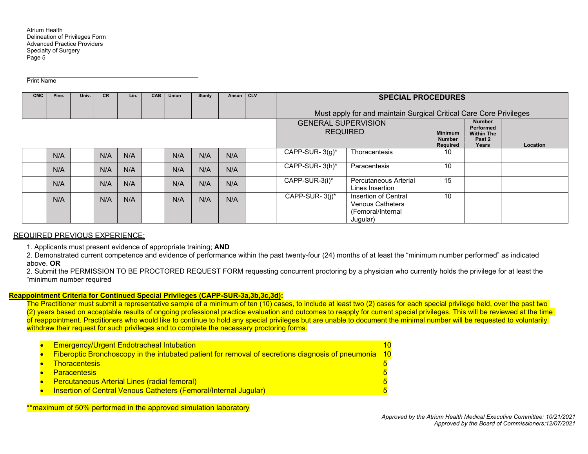Print Name

| <b>CMC</b> | Pine. | Univ. | <b>CR</b> | Lin.                                          | CAB | <b>Union</b> | Stanly | Anson | ICLV | <b>SPECIAL PROCEDURES</b><br>Must apply for and maintain Surgical Critical Care Core Privileges |                                                                                   |          |  |  |
|------------|-------|-------|-----------|-----------------------------------------------|-----|--------------|--------|-------|------|-------------------------------------------------------------------------------------------------|-----------------------------------------------------------------------------------|----------|--|--|
|            |       |       |           | <b>GENERAL SUPERVISION</b><br><b>REQUIRED</b> |     |              |        |       |      | <b>Minimum</b><br><b>Number</b><br><b>Required</b>                                              | <b>Number</b><br><b>Performed</b><br><b>Within The</b><br>Past 2<br>Years         | Location |  |  |
|            | N/A   |       | N/A       | N/A                                           |     | N/A          | N/A    | N/A   |      | CAPP-SUR- $3(q)^*$                                                                              | Thoracentesis                                                                     | 10       |  |  |
|            | N/A   |       | N/A       | N/A                                           |     | N/A          | N/A    | N/A   |      | CAPP-SUR-3(h)*                                                                                  | Paracentesis                                                                      | 10       |  |  |
|            | N/A   |       | N/A       | N/A                                           |     | N/A          | N/A    | N/A   |      | CAPP-SUR-3(i)*                                                                                  | Percutaneous Arterial<br>Lines Insertion                                          | 15       |  |  |
|            | N/A   |       | N/A       | N/A                                           |     | N/A          | N/A    | N/A   |      | CAPP-SUR-3(i)*                                                                                  | Insertion of Central<br><b>Venous Catheters</b><br>(Femoral/Internal)<br>Jugular) | 10       |  |  |

# REQUIRED PREVIOUS EXPERIENCE:

1. Applicants must present evidence of appropriate training; **AND** 

2. Demonstrated current competence and evidence of performance within the past twenty-four (24) months of at least the "minimum number performed" as indicated above. **OR**

2. Submit the PERMISSION TO BE PROCTORED REQUEST FORM requesting concurrent proctoring by a physician who currently holds the privilege for at least the "minimum number required

# **Reappointment Criteria for Continued Special Privileges (CAPP-SUR-3a,3b,3c,3d):**

The Practitioner must submit a representative sample of a minimum of ten (10) cases, to include at least two (2) cases for each special privilege held, over the past two (2) years based on acceptable results of ongoing professional practice evaluation and outcomes to reapply for current special privileges. This will be reviewed at the time of reappointment. Practitioners who would like to continue to hold any special privileges but are unable to document the minimal number will be requested to voluntarily withdraw their request for such privileges and to complete the necessary proctoring forms.

| <b>Emergency/Urgent Endotracheal Intubation</b>                                                   | 10 <sup>1</sup> |
|---------------------------------------------------------------------------------------------------|-----------------|
| Fiberoptic Bronchoscopy in the intubated patient for removal of secretions diagnosis of pneumonia | 10              |
| <b>Thoracentesis</b>                                                                              |                 |
| <b>Paracentesis</b>                                                                               |                 |
| <b>Percutaneous Arterial Lines (radial femoral)</b>                                               |                 |
| <b>Insertion of Central Venous Catheters (Femoral/Internal Jugular)</b>                           |                 |

\*\*maximum of 50% performed in the approved simulation laboratory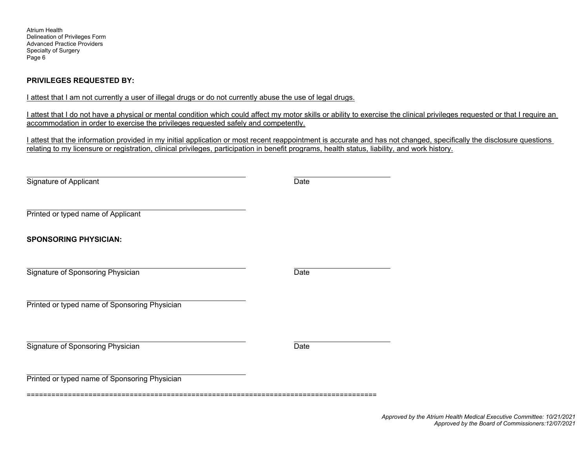Atrium Health Delineation of Privileges Form Advanced Practice Providers Specialty of Surgery Page 6

## **PRIVILEGES REQUESTED BY:**

I attest that I am not currently a user of illegal drugs or do not currently abuse the use of legal drugs.

I attest that I do not have a physical or mental condition which could affect my motor skills or ability to exercise the clinical privileges requested or that I require an accommodation in order to exercise the privileges requested safely and competently.

I attest that the information provided in my initial application or most recent reappointment is accurate and has not changed, specifically the disclosure questions relating to my licensure or registration, clinical privileges, participation in benefit programs, health status, liability, and work history.

Signature of Applicant Date

Printed or typed name of Applicant

**SPONSORING PHYSICIAN:** 

Signature of Sponsoring Physician Date Date Date

Printed or typed name of Sponsoring Physician

Signature of Sponsoring Physician Date Date

Printed or typed name of Sponsoring Physician

=====================================================================================